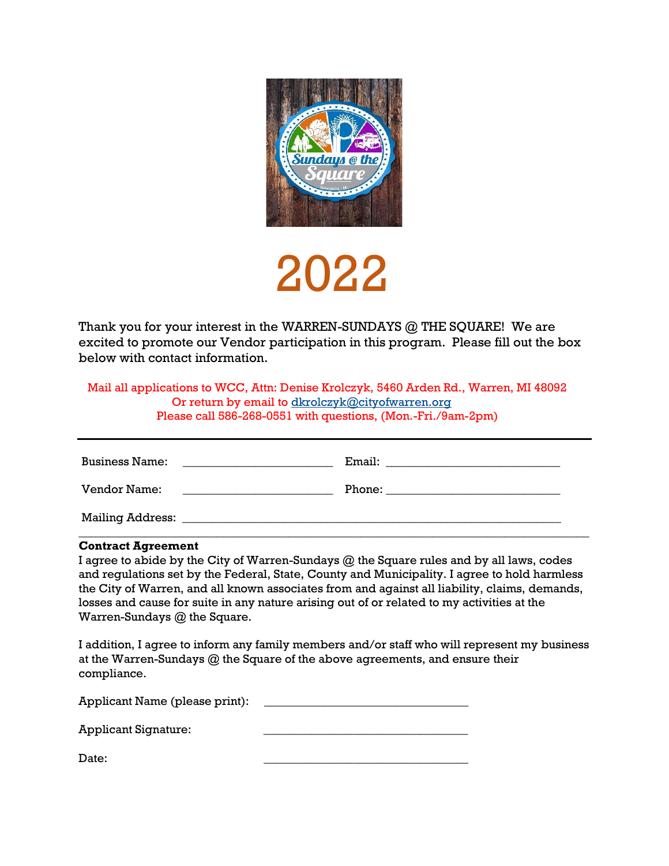

## 2022

Thank you for your interest in the WARREN-SUNDAYS @ THE SQUARE! We are excited to promote our Vendor participation in this program. Please fill out the box below with contact information.

 Mail all applications to WCC, Attn: Denise Krolczyk, 5460 Arden Rd., Warren, MI 48092 Or return by email to [dkrolczyk@cityofwarren.org](mailto:dkrolczyk@cityofwarren.org) Please call 586-268-0551 with questions, (Mon.-Fri./9am-2pm)

| <b>Business Name:</b>   | Email: |
|-------------------------|--------|
| Vendor Name:            | Phone: |
| <b>Mailing Address:</b> |        |

\_\_\_\_\_\_\_\_\_\_\_\_\_\_\_\_\_\_\_\_\_\_\_\_\_\_\_\_\_\_\_\_\_\_\_\_\_\_\_\_\_\_\_\_\_\_\_\_\_\_\_\_\_\_\_\_\_\_\_\_\_\_\_\_\_\_\_\_\_\_\_\_\_\_\_\_\_\_\_\_\_\_\_\_\_

## **Contract Agreement**

I agree to abide by the City of Warren-Sundays @ the Square rules and by all laws, codes and regulations set by the Federal, State, County and Municipality. I agree to hold harmless the City of Warren, and all known associates from and against all liability, claims, demands, losses and cause for suite in any nature arising out of or related to my activities at the Warren-Sundays @ the Square.

I addition, I agree to inform any family members and/or staff who will represent my business at the Warren-Sundays @ the Square of the above agreements, and ensure their compliance.

| Applicant Name (please print): |  |
|--------------------------------|--|
| <b>Applicant Signature:</b>    |  |
| Date:                          |  |